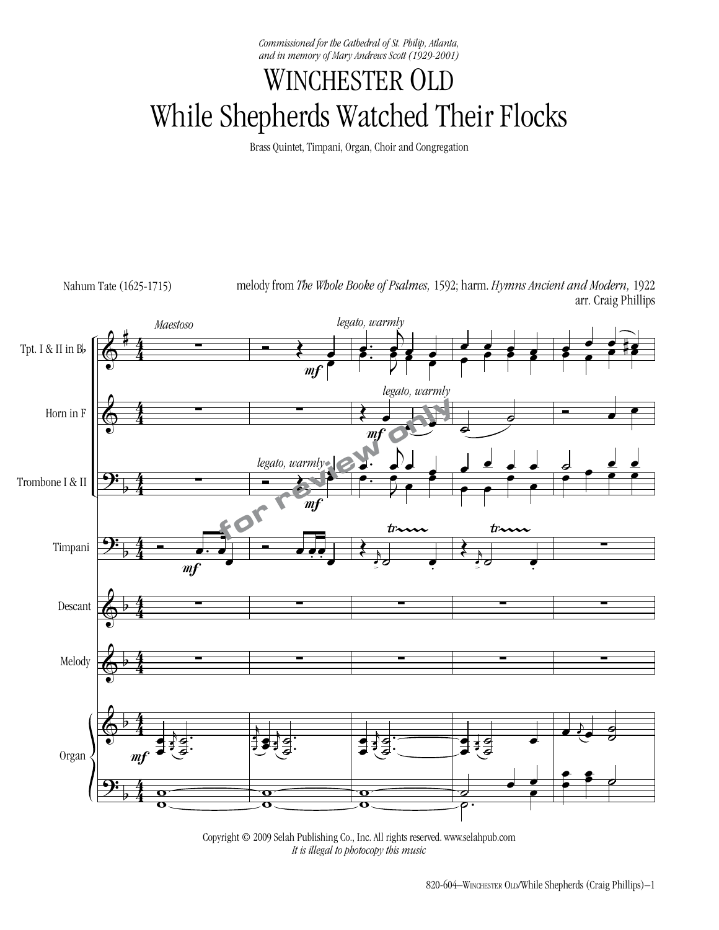*Commissioned for the Cathedral of St. Philip, Atlanta, and in memory of Mary Andrews Scott (1929-2001)*

## WINCHESTER OLD While Shepherds Watched Their Flocks

Brass Quintet, Timpani, Organ, Choir and Congregation



Copyright © 2009 Selah Publishing Co., Inc. All rights reserved. www.selahpub.com *It is illegal to photocopy this music*  $\mathcal{P}$   $\mathcal{P}$   $\mathcal{P}$   $\mathcal{P}$   $\mathcal{P}$  is in the photocopy this music.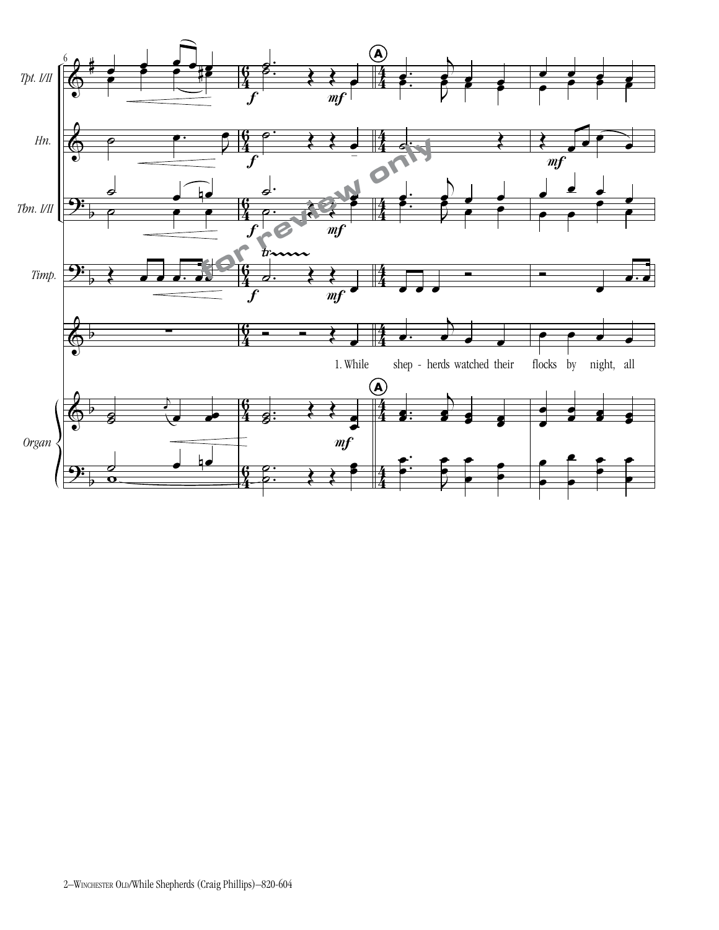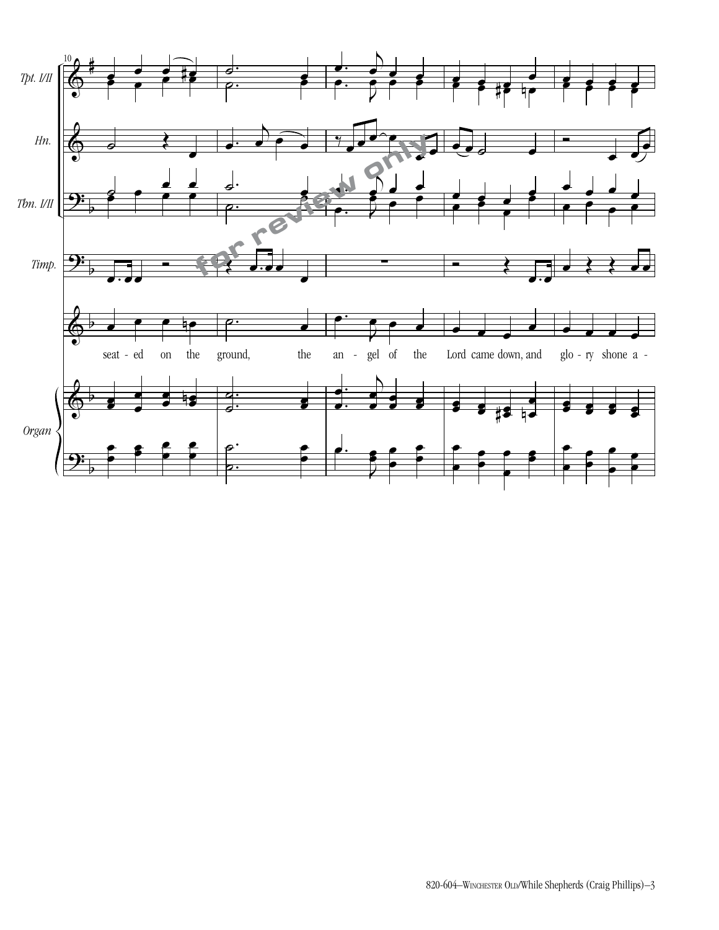